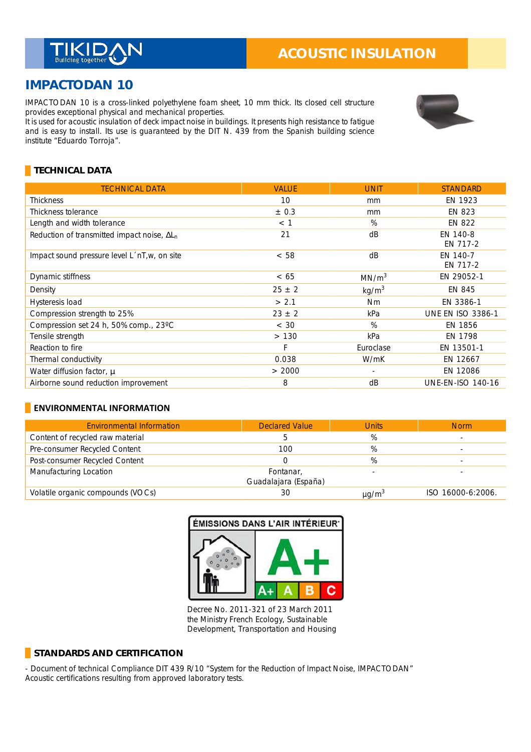

# **IMPACTODAN 10**

IMPACTODAN 10 is a cross-linked polyethylene foam sheet, 10 mm thick. Its closed cell structure provides exceptional physical and mechanical properties. \_

It is used for acoustic insulation of deck impact noise in buildings. It presents high resistance to fatigue and is easy to install. Its use is guaranteed by the DIT N. 439 from the Spanish building science institute "Eduardo Torroja".



## **TECHNICAL DATA**

| <b>TECHNICAL DATA</b>                               | <b>VALUE</b> | <b>UNIT</b>       | <b>STANDARD</b>          |
|-----------------------------------------------------|--------------|-------------------|--------------------------|
| <b>Thickness</b>                                    | 10           | mm                | EN 1923                  |
| Thickness tolerance                                 | $\pm$ 0.3    | mm                | EN 823                   |
| Length and width tolerance                          | $<$ 1        | %                 | <b>EN 822</b>            |
| Reduction of transmitted impact noise, $\Delta L_n$ | 21           | dB                | EN 140-8<br>EN 717-2     |
| Impact sound pressure level L nT, w, on site        | < 58         | dB                | EN 140-7<br>EN 717-2     |
| Dynamic stiffness                                   | < 65         | MN/m <sup>3</sup> | EN 29052-1               |
| Density                                             | $25 \pm 2$   | kg/m <sup>3</sup> | EN 845                   |
| Hysteresis load                                     | > 2.1        | <b>Nm</b>         | EN 3386-1                |
| Compression strength to 25%                         | $23 \pm 2$   | kPa               | <b>UNE EN ISO 3386-1</b> |
| Compression set 24 h, 50% comp., 23°C               | < 30         | $\%$              | EN 1856                  |
| Tensile strength                                    | >130         | kPa               | EN 1798                  |
| Reaction to fire                                    | F            | Euroclase         | EN 13501-1               |
| Thermal conductivity                                | 0.038        | W/mK              | EN 12667                 |
| Water diffusion factor, µ                           | > 2000       | $\sim$            | EN 12086                 |
| Airborne sound reduction improvement                | 8            | dB                | <b>UNE-EN-ISO 140-16</b> |

### **ENVIRONMENTAL INFORMATION**

| <b>Environmental Information</b>  | <b>Declared Value</b>             | <b>Units</b>           | <b>Norm</b>       |
|-----------------------------------|-----------------------------------|------------------------|-------------------|
| Content of recycled raw material  |                                   | %                      |                   |
| Pre-consumer Recycled Content     | 100                               | %                      |                   |
| Post-consumer Recycled Content    |                                   | %                      |                   |
| Manufacturing Location            | Fontanar,<br>Guadalajara (España) |                        |                   |
| Volatile organic compounds (VOCs) | 30                                | $\mu$ g/m <sup>3</sup> | ISO 16000-6:2006. |

#### ÉMISSIONS DANS L'AIR INTÉRIEUR<sup>.</sup>



Decree No. 2011-321 of 23 March 2011 the Ministry French Ecology, Sustainable Development, Transportation and Housing

#### **STANDARDS AND CERTIFICATION**

- Document of technical Compliance DIT 439 R/10 "System for the Reduction of Impact Noise, IMPACTODAN" Acoustic certifications resulting from approved laboratory tests.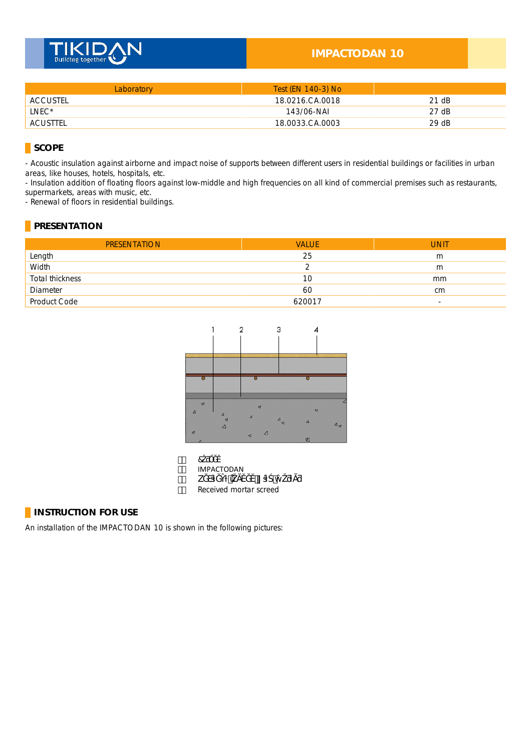

## **IMPACTODAN 10**

| Laboratory | Test (EN 140-3) No |       |
|------------|--------------------|-------|
| ACCUSTEL   | 18.0216.CA.0018    | 21 dB |
| LNEC*      | 143/06-NAI         | 27 dB |
| ACUSTTEL   | 18.0033.CA.0003    | 29 dB |

## **SCOPE**

- Acoustic insulation against airborne and impact noise of supports between different users in residential buildings or facilities in urban areas, like houses, hotels, hospitals, etc.

- Insulation addition of floating floors against low-middle and high frequencies on all kind of commercial premises such as restaurants, supermarkets, areas with music, etc.

- Renewal of floors in residential buildings.

## **PRESENTATION**

| <b>PRESENTATION</b> | <b>VALUE</b> | <b>UNIT</b>              |
|---------------------|--------------|--------------------------|
| Length              | 25           | m                        |
| Width               |              | m                        |
| Total thickness     | 10           | mm                       |
| Diameter            | 60           | cm                       |
| Product Code        | 620017       | $\overline{\phantom{a}}$ |



| ĦŽ. |                        |
|-----|------------------------|
| Sž. | IMPACTODAN             |
| % . |                        |
| Xž. | Received mortar screed |

### **INSTRUCTION FOR USE**

An installation of the IMPACTODAN 10 is shown in the following pictures: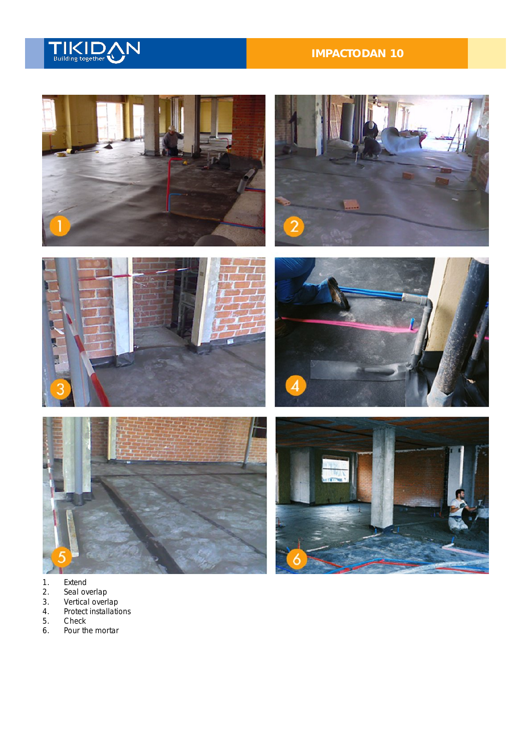

## **IMPACTODAN 10**







- 
- 1. Extend<br>
2. Seal ov<br>
3. Vertical<br>
4. Protect 2. Seal overlap
- 3. Vertical overlap
- 4. Protect installations
- 5. Check<br>6. Pour th
- Pour the mortar